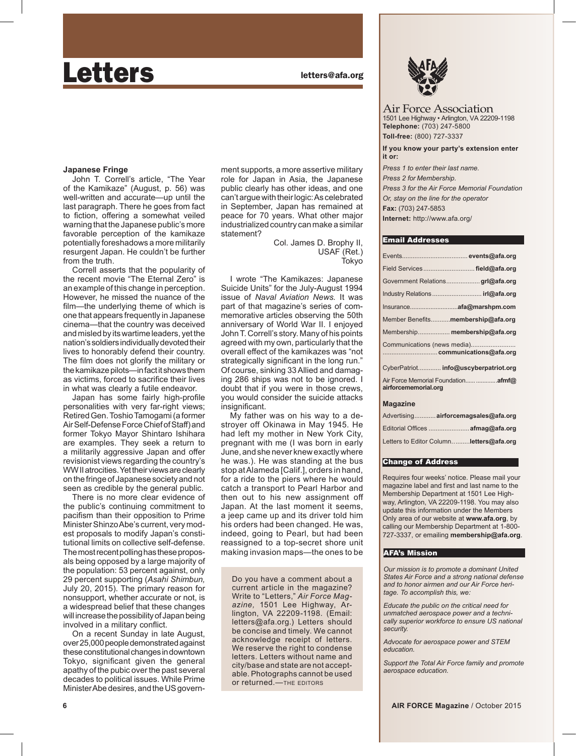# Letters **Letters Letters Letters Letters**

# **Japanese Fringe**

John T. Correll's article, "The Year of the Kamikaze" (August, p. 56) was well-written and accurate—up until the last paragraph. There he goes from fact to fiction, offering a somewhat veiled warning that the Japanese public's more favorable perception of the kamikaze potentially foreshadows a more militarily resurgent Japan. He couldn't be further from the truth.

Correll asserts that the popularity of the recent movie "The Eternal Zero" is an example of this change in perception. However, he missed the nuance of the film—the underlying theme of which is one that appears frequently in Japanese cinema—that the country was deceived and misled by its wartime leaders, yet the nation's soldiers individually devoted their lives to honorably defend their country. The film does not glorify the military or the kamikaze pilots—in fact it shows them as victims, forced to sacrifice their lives in what was clearly a futile endeavor.

Japan has some fairly high-profile personalities with very far-right views; Retired Gen. Toshio Tamogami (a former Air Self-Defense Force Chief of Staff) and former Tokyo Mayor Shintaro Ishihara are examples. They seek a return to a militarily aggressive Japan and offer revisionist views regarding the country's WW II atrocities. Yet their views are clearly on the fringe of Japanese society and not seen as credible by the general public.

There is no more clear evidence of the public's continuing commitment to pacifism than their opposition to Prime Minister Shinzo Abe's current, very modest proposals to modify Japan's constitutional limits on collective self-defense. The most recent polling has these proposals being opposed by a large majority of the population: 53 percent against, only 29 percent supporting (*Asahi Shimbun,*  July 20, 2015). The primary reason for nonsupport, whether accurate or not, is a widespread belief that these changes will increase the possibility of Japan being involved in a military conflict.

On a recent Sunday in late August, over 25,000 people demonstrated against these constitutional changes in downtown Tokyo, significant given the general apathy of the pubic over the past several decades to political issues. While Prime Minister Abe desires, and the US government supports, a more assertive military role for Japan in Asia, the Japanese public clearly has other ideas, and one can't argue with their logic: As celebrated in September, Japan has remained at peace for 70 years. What other major industrialized country can make a similar statement?

> Col. James D. Brophy II, USAF (Ret.) Tokyo

I wrote "The Kamikazes: Japanese Suicide Units" for the July-August 1994 issue of *Naval Aviation News.* It was part of that magazine's series of commemorative articles observing the 50th anniversary of World War II. I enjoyed John T. Correll's story. Many of his points agreed with my own, particularly that the overall effect of the kamikazes was "not strategically significant in the long run." Of course, sinking 33 Allied and damaging 286 ships was not to be ignored. I doubt that if you were in those crews, you would consider the suicide attacks insignificant.

My father was on his way to a destroyer off Okinawa in May 1945. He had left my mother in New York City, pregnant with me (I was born in early June, and she never knew exactly where he was.). He was standing at the bus stop at Alameda [Calif.], orders in hand, for a ride to the piers where he would catch a transport to Pearl Harbor and then out to his new assignment off Japan. At the last moment it seems, a jeep came up and its driver told him his orders had been changed. He was, indeed, going to Pearl, but had been reassigned to a top-secret shore unit making invasion maps—the ones to be

Do you have a comment about a current article in the magazine? Write to "Letters," *Air Force Maga zine,* 1501 Lee Highway, Arlington, VA 22209-1198. (Email: letters@afa.org.) Letters should be concise and timely. We cannot acknowledge receipt of letters. We reserve the right to condense letters. Letters without name and city/base and state are not acceptable. Photographs cannot be used or returned.—THE EDITORS



Air Force Association 1501 Lee Highway • Arlington, VA 22209-1198 **Telephone:** (703) 247-5800 **Toll-free:** (800) 727-3337

**If you know your party's extension enter it or:**

*Press 1 to enter their last name. Press 2 for Membership. Press 3 for the Air Force Memorial Foundation Or, stay on the line for the operator*  **Fax:** (703) 247-5853 **Internet:** http://www.afa.org/

#### Email Addresses

|                                    |  | Field Services field@afa.org         |  |
|------------------------------------|--|--------------------------------------|--|
|                                    |  | Government Relationsgrl@afa.org      |  |
|                                    |  |                                      |  |
|                                    |  |                                      |  |
| Member Benefits membership@afa.org |  |                                      |  |
|                                    |  | Membership membership@afa.org        |  |
| Communications (news media)        |  |                                      |  |
|                                    |  | CyberPatriot info@uscyberpatriot.org |  |
| airforcememorial.org               |  | Air Force Memorial Foundation  afmf@ |  |
| Magazino                           |  |                                      |  |

|  | <b>Magazine</b> |  |
|--|-----------------|--|
|  |                 |  |

| Advertising airforcemagsales@afa.org    |
|-----------------------------------------|
|                                         |
| Letters to Editor Columnletters@afa.org |

#### Change of Address

Requires four weeks' notice. Please mail your magazine label and first and last name to the Membership Department at 1501 Lee Highway, Arlington, VA 22209-1198. You may also update this information under the Members Only area of our website at **www.afa.org**, by calling our Membership Department at 1-800- 727-3337, or emailing **membership@afa.org**.

### AFA's Mission

*Our mission is to promote a dominant United States Air Force and a strong national defense and to honor airmen and our Air Force heritage. To accomplish this, we:*

*Educate the public on the critical need for unmatched aerospace power and a technically superior workforce to ensure US national security.*

*Advocate for aerospace power and STEM education.*

*Support the Total Air Force family and promote aerospace education.*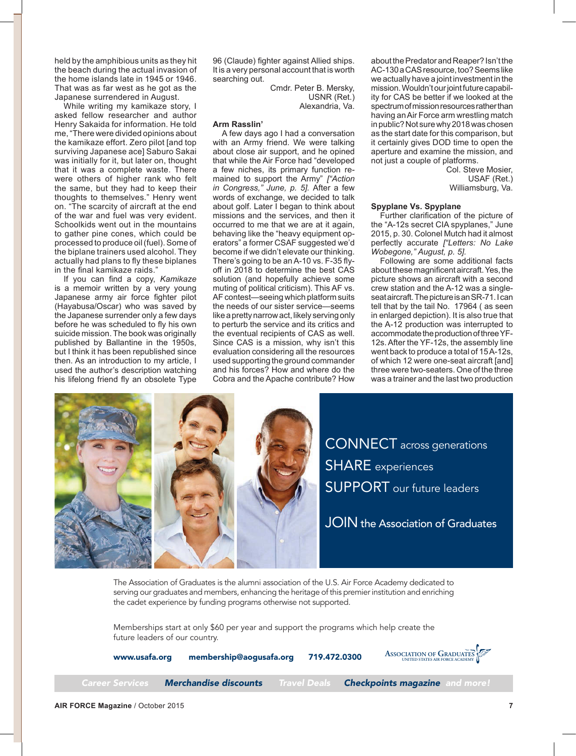held by the amphibious units as they hit the beach during the actual invasion of the home islands late in 1945 or 1946. That was as far west as he got as the Japanese surrendered in August.

While writing my kamikaze story, I asked fellow researcher and author Henry Sakaida for information. He told me, "There were divided opinions about the kamikaze effort. Zero pilot [and top surviving Japanese acel Saburo Sakai was initially for it, but later on, thought that it was a complete waste. There were others of higher rank who felt the same, but they had to keep their thoughts to themselves." Henry went on. "The scarcity of aircraft at the end of the war and fuel was very evident. Schoolkids went out in the mountains to gather pine cones, which could be processed to produce oil (fuel). Some of the biplane trainers used alcohol. They actually had plans to fly these biplanes in the final kamikaze raids."

If you can find a copy, *Kamikaze*  is a memoir written by a very young Japanese army air force fighter pilot (Hayabusa/Oscar) who was saved by the Japanese surrender only a few days before he was scheduled to fly his own suicide mission. The book was originally published by Ballantine in the 1950s, but I think it has been republished since then. As an introduction to my article. I used the author's description watching his lifelong friend fly an obsolete Type 96 (Claude) fighter against Allied ships. It is a very personal account that is worth searching out.

Cmdr. Peter B. Mersky. USNR (Ret.) Alexandria, Va.

# **Arm Rasslin'**

A few days ago I had a conversation with an Army friend. We were talking about close air support, and he opined that while the Air Force had "developed a few niches, its primary function remained to support the Army" ["Action *in Congress," June, p. 5].* After a few words of exchange, we decided to talk about golf. Later I began to think about missions and the services, and then it occurred to me that we are at it again, behaving like the "heavy equipment operators" a former CSAF suggested we'd become if we didn't elevate our thinking. There's going to be an A-10 vs. F-35 flyoff in 2018 to determine the best CAS solution (and hopefully achieve some muting of political criticism). This AF vs. AF contest—seeing which platform suits the needs of our sister service—seems like a pretty narrow act, likely serving only to perturb the service and its critics and the eventual recipients of CAS as well. Since CAS is a mission, why isn't this evaluation considering all the resources used supporting the ground commander and his forces? How and where do the Cobra and the Apache contribute? How

about the Predator and Reaper? Isn't the AC-130 a CAS resource, too? Seems like we actually have a joint investment in the mission. Wouldn't our joint future capability for CAS be better if we looked at the spectrum of mission resources rather than having an Air Force arm wrestling match in public? Not sure why 2018 was chosen as the start date for this comparison, but it certainly gives DOD time to open the a perture and examine the mission, and not just a couple of platforms.

> Col. Steve Mosier, USAF (Ret.) Williamsburg, Va.

# **Spyplane Vs. Spyplane**

Further clarification of the picture of the "A-12s secret CIA spyplanes," June 2015, p. 30. Colonel Mutch had it almost perfectly accurate ["Letters: No Lake *Wobegone," August, p. 5].*

Following are some additional facts about these magnificent aircraft. Yes, the picture shows an aircraft with a second crew station and the A-12 was a singleseat aircraft. The picture is an SR-71. I can tell that by the tail No. 17964 (as seen in enlarged depiction). It is also true that the A-12 production was interrupted to accommodate the production of three YF-12s. After the YF-12s, the assembly line went back to produce a total of  $15$  A- $12$ s. of which 12 were one-seat aircraft [and] three were two-seaters. One of the three was a trainer and the last two production



The Association of Graduates is the alumni association of the U.S. Air Force Academy dedicated to serving our graduates and members, enhancing the heritage of this premier institution and enriching the cadet experience by funding programs otherwise not supported.

Memberships start at only \$60 per year and support the programs which help create the future leaders of our country.

www.usafa.org membership@aogusafa.org 719.472.0300 **ASSOCIATION OF GRADUATES UNITED STATES AIR FORCE ACADEMY**

*Career Services Merchandise discounts Travel Deals Checkpoints magazine and more!*